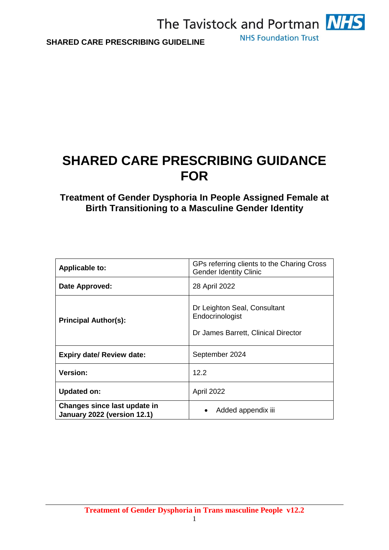

## **SHARED CARE PRESCRIBING GUIDANCE FOR**

## **Treatment of Gender Dysphoria In People Assigned Female at Birth Transitioning to a Masculine Gender Identity**

| <b>Applicable to:</b>                                       | GPs referring clients to the Charing Cross<br><b>Gender Identity Clinic</b>            |
|-------------------------------------------------------------|----------------------------------------------------------------------------------------|
| Date Approved:                                              | 28 April 2022                                                                          |
| <b>Principal Author(s):</b>                                 | Dr Leighton Seal, Consultant<br>Endocrinologist<br>Dr James Barrett, Clinical Director |
| <b>Expiry date/ Review date:</b>                            | September 2024                                                                         |
| <b>Version:</b>                                             | 12.2                                                                                   |
| <b>Updated on:</b>                                          | April 2022                                                                             |
| Changes since last update in<br>January 2022 (version 12.1) | Added appendix iii                                                                     |

1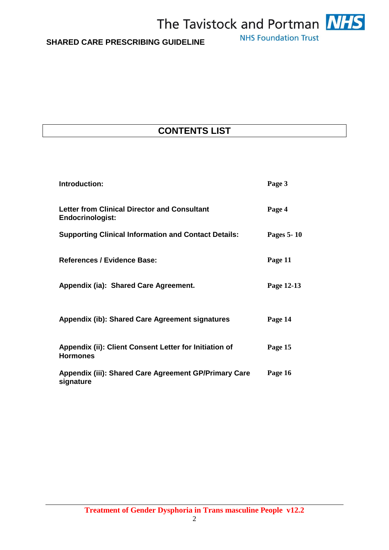

## **CONTENTS LIST**

| Introduction:                                                                  | Page 3     |
|--------------------------------------------------------------------------------|------------|
| <b>Letter from Clinical Director and Consultant</b><br><b>Endocrinologist:</b> | Page 4     |
| <b>Supporting Clinical Information and Contact Details:</b>                    | Pages 5-10 |
| <b>References / Evidence Base:</b>                                             | Page 11    |
| Appendix (ia): Shared Care Agreement.                                          | Page 12-13 |
| Appendix (ib): Shared Care Agreement signatures                                | Page 14    |
| Appendix (ii): Client Consent Letter for Initiation of<br><b>Hormones</b>      | Page 15    |
| Appendix (iii): Shared Care Agreement GP/Primary Care<br>signature             | Page 16    |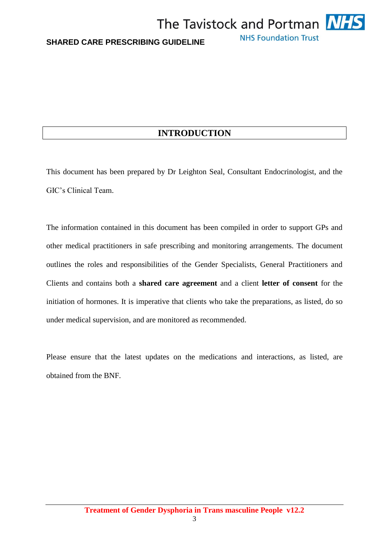## **INTRODUCTION**

This document has been prepared by Dr Leighton Seal, Consultant Endocrinologist, and the GIC's Clinical Team.

The information contained in this document has been compiled in order to support GPs and other medical practitioners in safe prescribing and monitoring arrangements. The document outlines the roles and responsibilities of the Gender Specialists, General Practitioners and Clients and contains both a **shared care agreement** and a client **letter of consent** for the initiation of hormones. It is imperative that clients who take the preparations, as listed, do so under medical supervision, and are monitored as recommended.

Please ensure that the latest updates on the medications and interactions, as listed, are obtained from the BNF.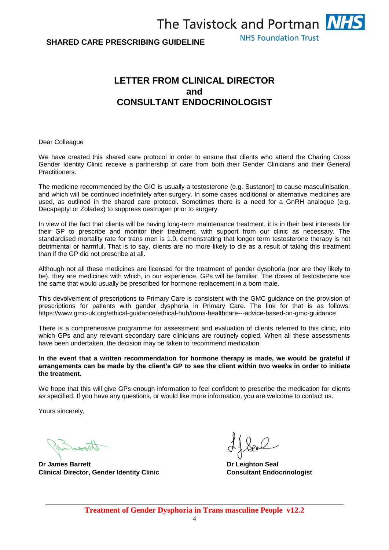**NHS Foundation Trust** 

## **LETTER FROM CLINICAL DIRECTOR and CONSULTANT ENDOCRINOLOGIST**

#### Dear Colleague

We have created this shared care protocol in order to ensure that clients who attend the Charing Cross Gender Identity Clinic receive a partnership of care from both their Gender Clinicians and their General Practitioners.

The medicine recommended by the GIC is usually a testosterone (e.g. Sustanon) to cause masculinisation, and which will be continued indefinitely after surgery. In some cases additional or alternative medicines are used, as outlined in the shared care protocol. Sometimes there is a need for a GnRH analogue (e.g. Decapeptyl or Zoladex) to suppress oestrogen prior to surgery.

In view of the fact that clients will be having long-term maintenance treatment, it is in their best interests for their GP to prescribe and monitor their treatment, with support from our clinic as necessary. The standardised mortality rate for trans men is 1.0, demonstrating that longer term testosterone therapy is not detrimental or harmful. That is to say, clients are no more likely to die as a result of taking this treatment than if the GP did not prescribe at all.

Although not all these medicines are licensed for the treatment of gender dysphoria (nor are they likely to be), they are medicines with which, in our experience, GPs will be familiar. The doses of testosterone are the same that would usually be prescribed for hormone replacement in a born male.

This devolvement of prescriptions to Primary Care is consistent with the GMC guidance on the provision of prescriptions for patients with gender dysphoria in Primary Care. The link for that is as follows: https://www.gmc-uk.org/ethical-guidance/ethical-hub/trans-healthcare---advice-based-on-gmc-guidance

There is a comprehensive programme for assessment and evaluation of clients referred to this clinic, into which GPs and any relevant secondary care clinicians are routinely copied. When all these assessments have been undertaken, the decision may be taken to recommend medication.

#### **In the event that a written recommendation for hormone therapy is made, we would be grateful if arrangements can be made by the client's GP to see the client within two weeks in order to initiate the treatment.**

We hope that this will give GPs enough information to feel confident to prescribe the medication for clients as specified. If you have any questions, or would like more information, you are welcome to contact us.

Yours sincerely,

**Dr James Barrett Dr Leighton Seal Clinical Director, Gender Identity Clinic Consultant Endocrinologist**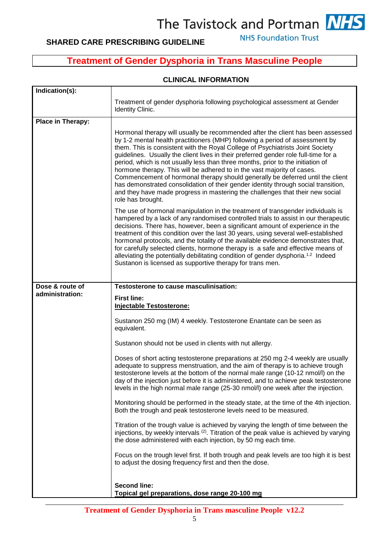## **SHARED CARE PRESCRIBING GUIDELINE**

**NHS Foundation Trust** 

## **Treatment of Gender Dysphoria in Trans Masculine People**

### **CLINICAL INFORMATION**

| Indication(s):    |                                                                                                                                                                                                                                                                                                                                                                                                                                                                                                                                                                                                                                                                                                                                                                                      |
|-------------------|--------------------------------------------------------------------------------------------------------------------------------------------------------------------------------------------------------------------------------------------------------------------------------------------------------------------------------------------------------------------------------------------------------------------------------------------------------------------------------------------------------------------------------------------------------------------------------------------------------------------------------------------------------------------------------------------------------------------------------------------------------------------------------------|
|                   | Treatment of gender dysphoria following psychological assessment at Gender<br><b>Identity Clinic.</b>                                                                                                                                                                                                                                                                                                                                                                                                                                                                                                                                                                                                                                                                                |
| Place in Therapy: |                                                                                                                                                                                                                                                                                                                                                                                                                                                                                                                                                                                                                                                                                                                                                                                      |
|                   | Hormonal therapy will usually be recommended after the client has been assessed<br>by 1-2 mental health practitioners (MHP) following a period of assessment by<br>them. This is consistent with the Royal College of Psychiatrists Joint Society<br>guidelines. Usually the client lives in their preferred gender role full-time for a<br>period, which is not usually less than three months, prior to the initiation of<br>hormone therapy. This will be adhered to in the vast majority of cases.<br>Commencement of hormonal therapy should generally be deferred until the client<br>has demonstrated consolidation of their gender identity through social transition,<br>and they have made progress in mastering the challenges that their new social<br>role has brought. |
|                   | The use of hormonal manipulation in the treatment of transgender individuals is<br>hampered by a lack of any randomised controlled trials to assist in our therapeutic<br>decisions. There has, however, been a significant amount of experience in the<br>treatment of this condition over the last 30 years, using several well-established<br>hormonal protocols, and the totality of the available evidence demonstrates that,<br>for carefully selected clients, hormone therapy is a safe and effective means of<br>alleviating the potentially debilitating condition of gender dysphoria. <sup>1.2</sup> Indeed<br>Sustanon is licensed as supportive therapy for trans men.                                                                                                 |
| Dose & route of   | Testosterone to cause masculinisation:                                                                                                                                                                                                                                                                                                                                                                                                                                                                                                                                                                                                                                                                                                                                               |
| administration:   |                                                                                                                                                                                                                                                                                                                                                                                                                                                                                                                                                                                                                                                                                                                                                                                      |
|                   | <b>First line:</b><br><b>Injectable Testosterone:</b>                                                                                                                                                                                                                                                                                                                                                                                                                                                                                                                                                                                                                                                                                                                                |
|                   | Sustanon 250 mg (IM) 4 weekly. Testosterone Enantate can be seen as<br>equivalent.                                                                                                                                                                                                                                                                                                                                                                                                                                                                                                                                                                                                                                                                                                   |
|                   | Sustanon should not be used in clients with nut allergy.                                                                                                                                                                                                                                                                                                                                                                                                                                                                                                                                                                                                                                                                                                                             |
|                   | Doses of short acting testosterone preparations at 250 mg 2-4 weekly are usually<br>adequate to suppress menstruation, and the aim of therapy is to achieve trough<br>testosterone levels at the bottom of the normal male range (10-12 nmol/l) on the<br>day of the injection just before it is administered, and to achieve peak testosterone<br>levels in the high normal male range (25-30 nmol/l) one week after the injection.                                                                                                                                                                                                                                                                                                                                                 |
|                   | Monitoring should be performed in the steady state, at the time of the 4th injection.<br>Both the trough and peak testosterone levels need to be measured.                                                                                                                                                                                                                                                                                                                                                                                                                                                                                                                                                                                                                           |
|                   | Titration of the trough value is achieved by varying the length of time between the<br>injections, by weekly intervals (2). Titration of the peak value is achieved by varying<br>the dose administered with each injection, by 50 mg each time.                                                                                                                                                                                                                                                                                                                                                                                                                                                                                                                                     |
|                   | Focus on the trough level first. If both trough and peak levels are too high it is best<br>to adjust the dosing frequency first and then the dose.                                                                                                                                                                                                                                                                                                                                                                                                                                                                                                                                                                                                                                   |

**Treatment of Gender Dysphoria in Trans masculine People v12.2**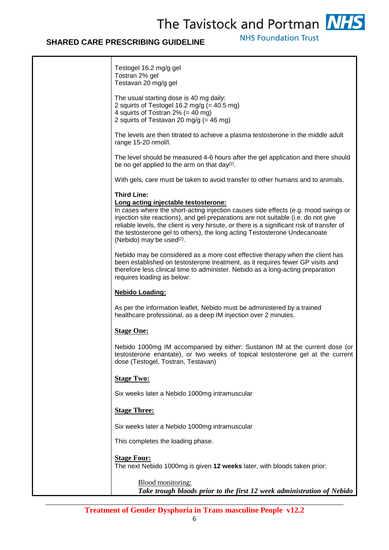## **SHARED CARE PRESCRIBING GUIDELINE**

Т

**NHS Foundation Trust** 

٦

| Testogel 16.2 mg/g gel<br>Tostran 2% gel<br>Testavan 20 mg/g gel                                                                                                                                                                                                                                                                                                                                                                                           |
|------------------------------------------------------------------------------------------------------------------------------------------------------------------------------------------------------------------------------------------------------------------------------------------------------------------------------------------------------------------------------------------------------------------------------------------------------------|
| The usual starting dose is 40 mg daily:<br>2 squirts of Testogel 16.2 mg/g (= $40.5$ mg)<br>4 squirts of Tostran $2\%$ (= 40 mg)<br>2 squirts of Testavan 20 mg/g (= 46 mg)                                                                                                                                                                                                                                                                                |
| The levels are then titrated to achieve a plasma testosterone in the middle adult<br>range 15-20 nmol/l.                                                                                                                                                                                                                                                                                                                                                   |
| The level should be measured 4-6 hours after the gel application and there should<br>be no gel applied to the arm on that day(2).                                                                                                                                                                                                                                                                                                                          |
| With gels, care must be taken to avoid transfer to other humans and to animals.                                                                                                                                                                                                                                                                                                                                                                            |
| <b>Third Line:</b><br>Long acting injectable testosterone:<br>In cases where the short-acting injection causes side effects (e.g. mood swings or<br>injection site reactions), and gel preparations are not suitable (i.e. do not give<br>reliable levels, the client is very hirsute, or there is a significant risk of transfer of<br>the testosterone gel to others), the long acting Testosterone Undecanoate<br>(Nebido) may be used <sup>(2)</sup> . |
| Nebido may be considered as a more cost effective therapy when the client has<br>been established on testosterone treatment, as it requires fewer GP visits and<br>therefore less clinical time to administer. Nebido as a long-acting preparation<br>requires loading as below:                                                                                                                                                                           |
| <b>Nebido Loading:</b>                                                                                                                                                                                                                                                                                                                                                                                                                                     |
| As per the information leaflet, Nebido must be administered by a trained<br>healthcare professional, as a deep IM injection over 2 minutes.                                                                                                                                                                                                                                                                                                                |
| <b>Stage One:</b>                                                                                                                                                                                                                                                                                                                                                                                                                                          |
| Nebido 1000mg IM accompanied by either: Sustanon IM at the current dose (or<br>testosterone enantate), or two weeks of topical testosterone gel at the current<br>dose (Testogel, Tostran, Testavan)                                                                                                                                                                                                                                                       |
| <b>Stage Two:</b>                                                                                                                                                                                                                                                                                                                                                                                                                                          |
| Six weeks later a Nebido 1000mg intramuscular                                                                                                                                                                                                                                                                                                                                                                                                              |
| <b>Stage Three:</b>                                                                                                                                                                                                                                                                                                                                                                                                                                        |
| Six weeks later a Nebido 1000mg intramuscular                                                                                                                                                                                                                                                                                                                                                                                                              |
| This completes the loading phase.                                                                                                                                                                                                                                                                                                                                                                                                                          |
| <b>Stage Four:</b>                                                                                                                                                                                                                                                                                                                                                                                                                                         |
| The next Nebido 1000mg is given 12 weeks later, with bloods taken prior:                                                                                                                                                                                                                                                                                                                                                                                   |
| Blood monitoring:<br>Take trough bloods prior to the first 12 week administration of Nebido                                                                                                                                                                                                                                                                                                                                                                |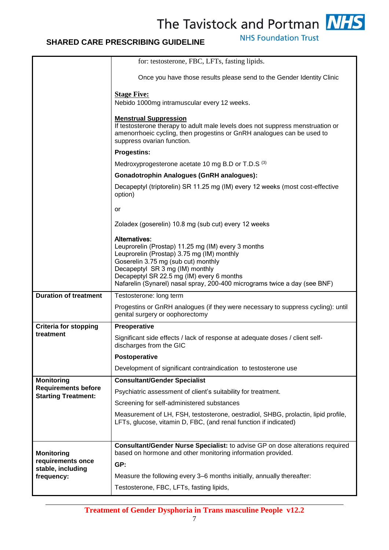**NHS Foundation Trust** 

|                                                          | for: testosterone, FBC, LFTs, fasting lipids.                                                                                                                                                                                                   |
|----------------------------------------------------------|-------------------------------------------------------------------------------------------------------------------------------------------------------------------------------------------------------------------------------------------------|
|                                                          | Once you have those results please send to the Gender Identity Clinic                                                                                                                                                                           |
|                                                          | <b>Stage Five:</b>                                                                                                                                                                                                                              |
|                                                          | Nebido 1000mg intramuscular every 12 weeks.                                                                                                                                                                                                     |
|                                                          | <b>Menstrual Suppression</b>                                                                                                                                                                                                                    |
|                                                          | If testosterone therapy to adult male levels does not suppress menstruation or<br>amenorrhoeic cycling, then progestins or GnRH analogues can be used to<br>suppress ovarian function.                                                          |
|                                                          | <b>Progestins:</b>                                                                                                                                                                                                                              |
|                                                          | Medroxyprogesterone acetate 10 mg B.D or T.D.S (3)                                                                                                                                                                                              |
|                                                          | <b>Gonadotrophin Analogues (GnRH analogues):</b>                                                                                                                                                                                                |
|                                                          | Decapeptyl (triptorelin) SR 11.25 mg (IM) every 12 weeks (most cost-effective<br>option)                                                                                                                                                        |
|                                                          | or                                                                                                                                                                                                                                              |
|                                                          | Zoladex (goserelin) 10.8 mg (sub cut) every 12 weeks                                                                                                                                                                                            |
|                                                          | <b>Alternatives:</b><br>Leuprorelin (Prostap) 11.25 mg (IM) every 3 months<br>Leuprorelin (Prostap) 3.75 mg (IM) monthly<br>Goserelin 3.75 mg (sub cut) monthly<br>Decapeptyl SR 3 mg (IM) monthly<br>Decapeptyl SR 22.5 mg (IM) every 6 months |
|                                                          | Nafarelin (Synarel) nasal spray, 200-400 micrograms twice a day (see BNF)                                                                                                                                                                       |
| <b>Duration of treatment</b>                             | Testosterone: long term                                                                                                                                                                                                                         |
|                                                          | Progestins or GnRH analogues (if they were necessary to suppress cycling): until<br>genital surgery or oophorectomy                                                                                                                             |
| <b>Criteria for stopping</b><br>treatment                | Preoperative                                                                                                                                                                                                                                    |
|                                                          | Significant side effects / lack of response at adequate doses / client self-<br>discharges from the GIC                                                                                                                                         |
|                                                          | Postoperative                                                                                                                                                                                                                                   |
|                                                          | Development of significant contraindication to testosterone use                                                                                                                                                                                 |
| <b>Monitoring</b>                                        | <b>Consultant/Gender Specialist</b>                                                                                                                                                                                                             |
| <b>Requirements before</b><br><b>Starting Treatment:</b> | Psychiatric assessment of client's suitability for treatment.                                                                                                                                                                                   |
|                                                          | Screening for self-administered substances                                                                                                                                                                                                      |
|                                                          | Measurement of LH, FSH, testosterone, oestradiol, SHBG, prolactin, lipid profile,                                                                                                                                                               |
|                                                          | LFTs, glucose, vitamin D, FBC, (and renal function if indicated)                                                                                                                                                                                |
|                                                          |                                                                                                                                                                                                                                                 |
| <b>Monitoring</b>                                        | <b>Consultant/Gender Nurse Specialist:</b> to advise GP on dose alterations required<br>based on hormone and other monitoring information provided.                                                                                             |
| requirements once                                        | GP:                                                                                                                                                                                                                                             |
| stable, including<br>frequency:                          | Measure the following every 3-6 months initially, annually thereafter:                                                                                                                                                                          |
|                                                          | Testosterone, FBC, LFTs, fasting lipids,                                                                                                                                                                                                        |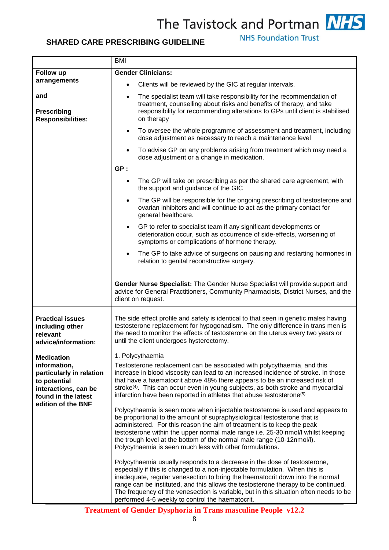

## **SHARED CARE PRESCRIBING GUIDELINE**

**NHS Foundation Trust** 

|                                                                                                                                                    | <b>BMI</b>                                                                                                                                                                                                                                                                                                                                                                                                                                                                                                                                                                                                                                                                                                                                                                                                                                                                                                                                                                                                                                                                                                                                                                                                                                                                                                                                        |  |
|----------------------------------------------------------------------------------------------------------------------------------------------------|---------------------------------------------------------------------------------------------------------------------------------------------------------------------------------------------------------------------------------------------------------------------------------------------------------------------------------------------------------------------------------------------------------------------------------------------------------------------------------------------------------------------------------------------------------------------------------------------------------------------------------------------------------------------------------------------------------------------------------------------------------------------------------------------------------------------------------------------------------------------------------------------------------------------------------------------------------------------------------------------------------------------------------------------------------------------------------------------------------------------------------------------------------------------------------------------------------------------------------------------------------------------------------------------------------------------------------------------------|--|
| Follow up                                                                                                                                          | <b>Gender Clinicians:</b>                                                                                                                                                                                                                                                                                                                                                                                                                                                                                                                                                                                                                                                                                                                                                                                                                                                                                                                                                                                                                                                                                                                                                                                                                                                                                                                         |  |
| arrangements                                                                                                                                       | Clients will be reviewed by the GIC at regular intervals.<br>$\bullet$                                                                                                                                                                                                                                                                                                                                                                                                                                                                                                                                                                                                                                                                                                                                                                                                                                                                                                                                                                                                                                                                                                                                                                                                                                                                            |  |
| and<br><b>Prescribing</b><br><b>Responsibilities:</b>                                                                                              | The specialist team will take responsibility for the recommendation of<br>$\bullet$<br>treatment, counselling about risks and benefits of therapy, and take<br>responsibility for recommending alterations to GPs until client is stabilised<br>on therapy                                                                                                                                                                                                                                                                                                                                                                                                                                                                                                                                                                                                                                                                                                                                                                                                                                                                                                                                                                                                                                                                                        |  |
|                                                                                                                                                    | To oversee the whole programme of assessment and treatment, including<br>$\bullet$<br>dose adjustment as necessary to reach a maintenance level                                                                                                                                                                                                                                                                                                                                                                                                                                                                                                                                                                                                                                                                                                                                                                                                                                                                                                                                                                                                                                                                                                                                                                                                   |  |
|                                                                                                                                                    | To advise GP on any problems arising from treatment which may need a<br>$\bullet$<br>dose adjustment or a change in medication.                                                                                                                                                                                                                                                                                                                                                                                                                                                                                                                                                                                                                                                                                                                                                                                                                                                                                                                                                                                                                                                                                                                                                                                                                   |  |
|                                                                                                                                                    | GP:                                                                                                                                                                                                                                                                                                                                                                                                                                                                                                                                                                                                                                                                                                                                                                                                                                                                                                                                                                                                                                                                                                                                                                                                                                                                                                                                               |  |
|                                                                                                                                                    | The GP will take on prescribing as per the shared care agreement, with<br>$\bullet$<br>the support and guidance of the GIC                                                                                                                                                                                                                                                                                                                                                                                                                                                                                                                                                                                                                                                                                                                                                                                                                                                                                                                                                                                                                                                                                                                                                                                                                        |  |
|                                                                                                                                                    | The GP will be responsible for the ongoing prescribing of testosterone and<br>$\bullet$<br>ovarian inhibitors and will continue to act as the primary contact for<br>general healthcare.                                                                                                                                                                                                                                                                                                                                                                                                                                                                                                                                                                                                                                                                                                                                                                                                                                                                                                                                                                                                                                                                                                                                                          |  |
|                                                                                                                                                    | GP to refer to specialist team if any significant developments or<br>$\bullet$<br>deterioration occur, such as occurrence of side-effects, worsening of<br>symptoms or complications of hormone therapy.                                                                                                                                                                                                                                                                                                                                                                                                                                                                                                                                                                                                                                                                                                                                                                                                                                                                                                                                                                                                                                                                                                                                          |  |
|                                                                                                                                                    | The GP to take advice of surgeons on pausing and restarting hormones in<br>$\bullet$<br>relation to genital reconstructive surgery.                                                                                                                                                                                                                                                                                                                                                                                                                                                                                                                                                                                                                                                                                                                                                                                                                                                                                                                                                                                                                                                                                                                                                                                                               |  |
|                                                                                                                                                    | Gender Nurse Specialist: The Gender Nurse Specialist will provide support and<br>advice for General Practitioners, Community Pharmacists, District Nurses, and the<br>client on request.                                                                                                                                                                                                                                                                                                                                                                                                                                                                                                                                                                                                                                                                                                                                                                                                                                                                                                                                                                                                                                                                                                                                                          |  |
| <b>Practical issues</b><br>including other<br>relevant<br>advice/information:                                                                      | The side effect profile and safety is identical to that seen in genetic males having<br>testosterone replacement for hypogonadism. The only difference in trans men is<br>the need to monitor the effects of testosterone on the uterus every two years or<br>until the client undergoes hysterectomy.                                                                                                                                                                                                                                                                                                                                                                                                                                                                                                                                                                                                                                                                                                                                                                                                                                                                                                                                                                                                                                            |  |
| <b>Medication</b><br>information,<br>particularly in relation<br>to potential<br>interactions, can be<br>found in the latest<br>edition of the BNF | 1. Polycythaemia<br>Testosterone replacement can be associated with polycythaemia, and this<br>increase in blood viscosity can lead to an increased incidence of stroke. In those<br>that have a haematocrit above 48% there appears to be an increased risk of<br>stroke <sup>(4)</sup> . This can occur even in young subjects, as both stroke and myocardial<br>infarction have been reported in athletes that abuse testosterone <sup>(5)</sup><br>Polycythaemia is seen more when injectable testosterone is used and appears to<br>be proportional to the amount of supraphysiological testosterone that is<br>administered. For this reason the aim of treatment is to keep the peak<br>testosterone within the upper normal male range i.e. 25-30 nmol/l whilst keeping<br>the trough level at the bottom of the normal male range (10-12nmol/l).<br>Polycythaemia is seen much less with other formulations.<br>Polycythaemia usually responds to a decrease in the dose of testosterone,<br>especially if this is changed to a non-injectable formulation. When this is<br>inadequate, regular venesection to bring the haematocrit down into the normal<br>range can be instituted, and this allows the testosterone therapy to be continued.<br>The frequency of the venesection is variable, but in this situation often needs to be |  |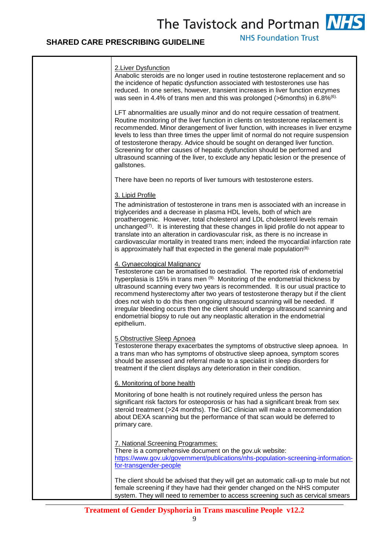**NHS Foundation Trust** 

| 2. Liver Dysfunction<br>Anabolic steroids are no longer used in routine testosterone replacement and so<br>the incidence of hepatic dysfunction associated with testosterones use has<br>reduced. In one series, however, transient increases in liver function enzymes<br>was seen in 4.4% of trans men and this was prolonged (>6months) in 6.8% <sup>(6)</sup>                                                                                                                                                                                                                                                                          |
|--------------------------------------------------------------------------------------------------------------------------------------------------------------------------------------------------------------------------------------------------------------------------------------------------------------------------------------------------------------------------------------------------------------------------------------------------------------------------------------------------------------------------------------------------------------------------------------------------------------------------------------------|
| LFT abnormalities are usually minor and do not require cessation of treatment.<br>Routine monitoring of the liver function in clients on testosterone replacement is<br>recommended. Minor derangement of liver function, with increases in liver enzyme<br>levels to less than three times the upper limit of normal do not require suspension<br>of testosterone therapy. Advice should be sought on deranged liver function.<br>Screening for other causes of hepatic dysfunction should be performed and<br>ultrasound scanning of the liver, to exclude any hepatic lesion or the presence of<br>gallstones.                          |
| There have been no reports of liver tumours with testosterone esters.                                                                                                                                                                                                                                                                                                                                                                                                                                                                                                                                                                      |
| 3. Lipid Profile                                                                                                                                                                                                                                                                                                                                                                                                                                                                                                                                                                                                                           |
| The administration of testosterone in trans men is associated with an increase in<br>triglycerides and a decrease in plasma HDL levels, both of which are<br>proatherogenic. However, total cholesterol and LDL cholesterol levels remain<br>unchanged <sup><math>(7)</math></sup> . It is interesting that these changes in lipid profile do not appear to<br>translate into an alteration in cardiovascular risk, as there is no increase in<br>cardiovascular mortality in treated trans men; indeed the myocardial infarction rate<br>is approximately half that expected in the general male population <sup>(8).</sup>               |
| 4. Gynaecological Malignancy<br>Testosterone can be aromatised to oestradiol. The reported risk of endometrial<br>hyperplasia is 15% in trans men (9). Monitoring of the endometrial thickness by<br>ultrasound scanning every two years is recommended. It is our usual practice to<br>recommend hysterectomy after two years of testosterone therapy but if the client<br>does not wish to do this then ongoing ultrasound scanning will be needed. If<br>irregular bleeding occurs then the client should undergo ultrasound scanning and<br>endometrial biopsy to rule out any neoplastic alteration in the endometrial<br>epithelium. |
| 5. Obstructive Sleep Apnoea<br>Testosterone therapy exacerbates the symptoms of obstructive sleep apnoea. In<br>a trans man who has symptoms of obstructive sleep apnoea, symptom scores<br>should be assessed and referral made to a specialist in sleep disorders for<br>treatment if the client displays any deterioration in their condition.                                                                                                                                                                                                                                                                                          |
| 6. Monitoring of bone health                                                                                                                                                                                                                                                                                                                                                                                                                                                                                                                                                                                                               |
| Monitoring of bone health is not routinely required unless the person has<br>significant risk factors for osteoporosis or has had a significant break from sex<br>steroid treatment (>24 months). The GIC clinician will make a recommendation<br>about DEXA scanning but the performance of that scan would be deferred to<br>primary care.                                                                                                                                                                                                                                                                                               |
| 7. National Screening Programmes:<br>There is a comprehensive document on the gov.uk website:<br>https://www.gov.uk/government/publications/nhs-population-screening-information-<br>for-transgender-people                                                                                                                                                                                                                                                                                                                                                                                                                                |
| The client should be advised that they will get an automatic call-up to male but not<br>female screening if they have had their gender changed on the NHS computer<br>system. They will need to remember to access screening such as cervical smears                                                                                                                                                                                                                                                                                                                                                                                       |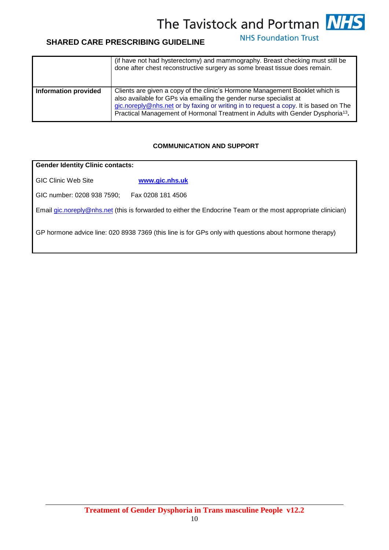**NHS Foundation Trust** 

## **SHARED CARE PRESCRIBING GUIDELINE**

|                             | (if have not had hysterectomy) and mammography. Breast checking must still be<br>done after chest reconstructive surgery as some breast tissue does remain.                                                                                                                                                                              |
|-----------------------------|------------------------------------------------------------------------------------------------------------------------------------------------------------------------------------------------------------------------------------------------------------------------------------------------------------------------------------------|
| <b>Information provided</b> | Clients are given a copy of the clinic's Hormone Management Booklet which is<br>also available for GPs via emailing the gender nurse specialist at<br>gic.noreply@nhs.net or by faxing or writing in to request a copy. It is based on The<br>Practical Management of Hormonal Treatment in Adults with Gender Dysphoria <sup>13</sup> . |

### **COMMUNICATION AND SUPPORT**

## **Gender Identity Clinic contacts:**  GIC Clinic Web Site **[www.gic.nhs.uk](http://www.gic.nhs.uk/)** GIC number: 0208 938 7590; Fax 0208 181 4506

Email [gic.noreply@nhs.net](mailto:gic.noreply@nhs.net) (this is forwarded to either the Endocrine Team or the most appropriate clinician)

GP hormone advice line: 020 8938 7369 (this line is for GPs only with questions about hormone therapy)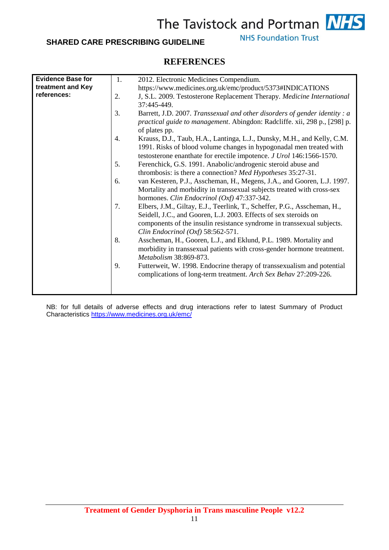## **SHARED CARE PRESCRIBING GUIDELINE**

**NHS Foundation Trust** 

## **REFERENCES**

| <b>Evidence Base for</b> | 1. | 2012. Electronic Medicines Compendium.                                    |
|--------------------------|----|---------------------------------------------------------------------------|
| treatment and Key        |    | https://www.medicines.org.uk/emc/product/5373#INDICATIONS                 |
| references:              | 2. | J, S.L. 2009. Testosterone Replacement Therapy. Medicine International    |
|                          |    | 37:445-449.                                                               |
|                          | 3. | Barrett, J.D. 2007. Transsexual and other disorders of gender identity: a |
|                          |    | practical guide to management. Abingdon: Radcliffe. xii, 298 p., [298] p. |
|                          |    | of plates pp.                                                             |
|                          | 4. | Krauss, D.J., Taub, H.A., Lantinga, L.J., Dunsky, M.H., and Kelly, C.M.   |
|                          |    | 1991. Risks of blood volume changes in hypogonadal men treated with       |
|                          |    | testosterone enanthate for erectile impotence. J Urol 146:1566-1570.      |
|                          | 5. | Ferenchick, G.S. 1991. Anabolic/androgenic steroid abuse and              |
|                          |    | thrombosis: is there a connection? Med Hypotheses 35:27-31.               |
|                          | 6. | van Kesteren, P.J., Asscheman, H., Megens, J.A., and Gooren, L.J. 1997.   |
|                          |    | Mortality and morbidity in transsexual subjects treated with cross-sex    |
|                          |    | hormones. Clin Endocrinol (Oxf) 47:337-342.                               |
|                          | 7. | Elbers, J.M., Giltay, E.J., Teerlink, T., Scheffer, P.G., Asscheman, H.,  |
|                          |    | Seidell, J.C., and Gooren, L.J. 2003. Effects of sex steroids on          |
|                          |    | components of the insulin resistance syndrome in transsexual subjects.    |
|                          |    | Clin Endocrinol $(Oxf)$ 58:562-571.                                       |
|                          | 8. | Asscheman, H., Gooren, L.J., and Eklund, P.L. 1989. Mortality and         |
|                          |    | morbidity in transsexual patients with cross-gender hormone treatment.    |
|                          |    | Metabolism 38:869-873.                                                    |
|                          | 9. |                                                                           |
|                          |    | Futterweit, W. 1998. Endocrine therapy of transsexualism and potential    |
|                          |    | complications of long-term treatment. Arch Sex Behav 27:209-226.          |
|                          |    |                                                                           |
|                          |    |                                                                           |

NB: for full details of adverse effects and drug interactions refer to latest Summary of Product Characteristics<https://www.medicines.org.uk/emc/>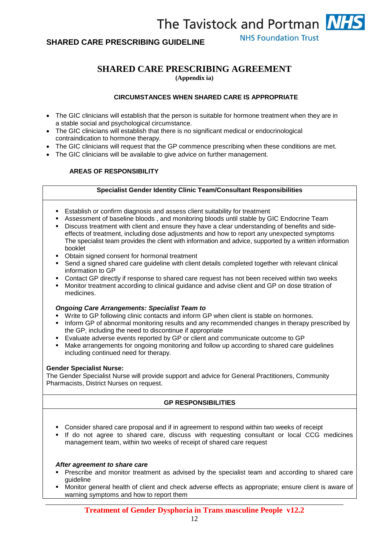### **SHARED CARE PRESCRIBING GUIDELINE**

**NHS Foundation Trust** 

## **SHARED CARE PRESCRIBING AGREEMENT**

**(Appendix ia)** 

### **CIRCUMSTANCES WHEN SHARED CARE IS APPROPRIATE**

- The GIC clinicians will establish that the person is suitable for hormone treatment when they are in a stable social and psychological circumstance.
- The GIC clinicians will establish that there is no significant medical or endocrinological contraindication to hormone therapy.
- The GIC clinicians will request that the GP commence prescribing when these conditions are met.
- The GIC clinicians will be available to give advice on further management.

### **AREAS OF RESPONSIBILITY**

### **Specialist Gender Identity Clinic Team/Consultant Responsibilities**

- Establish or confirm diagnosis and assess client suitability for treatment
- Assessment of baseline bloods , and monitoring bloods until stable by GIC Endocrine Team
- Discuss treatment with client and ensure they have a clear understanding of benefits and sideeffects of treatment, including dose adjustments and how to report any unexpected symptoms The specialist team provides the client with information and advice, supported by a written information booklet
- **D**btain signed consent for hormonal treatment
- Send a signed shared care guideline with client details completed together with relevant clinical information to GP
- Contact GP directly if response to shared care request has not been received within two weeks
- Monitor treatment according to clinical guidance and advise client and GP on dose titration of medicines.

### *Ongoing Care Arrangements: Specialist Team to*

- Write to GP following clinic contacts and inform GP when client is stable on hormones.
- **Inform GP of abnormal monitoring results and any recommended changes in therapy prescribed by** the GP, including the need to discontinue if appropriate
- Evaluate adverse events reported by GP or client and communicate outcome to GP
- Make arrangements for ongoing monitoring and follow up according to shared care guidelines including continued need for therapy.

### **Gender Specialist Nurse:**

The Gender Specialist Nurse will provide support and advice for General Practitioners, Community Pharmacists, District Nurses on request.

### **GP RESPONSIBILITIES**

- Consider shared care proposal and if in agreement to respond within two weeks of receipt
- If do not agree to shared care, discuss with requesting consultant or local CCG medicines management team, within two weeks of receipt of shared care request

### *After agreement to share care*

- **Prescribe and monitor treatment as advised by the specialist team and according to shared care** guideline
- Monitor general health of client and check adverse effects as appropriate; ensure client is aware of warning symptoms and how to report them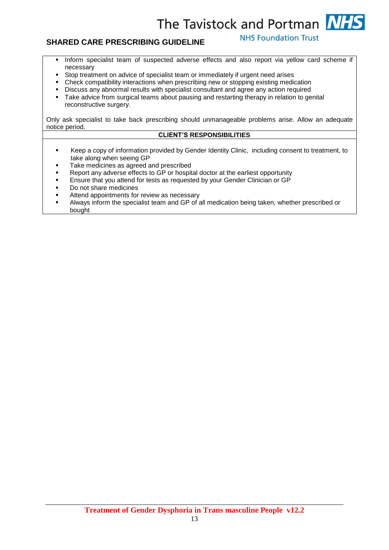**NHS Foundation Trust** 

- **Inform specialist team of suspected adverse effects and also report via yellow card scheme if** necessary
- Stop treatment on advice of specialist team or immediately if urgent need arises
- Check compatibility interactions when prescribing new or stopping existing medication
- Discuss any abnormal results with specialist consultant and agree any action required<br>Take advice from surgical teams about pausing and restarting therapy in relation to ge
- Take advice from surgical teams about pausing and restarting therapy in relation to genital reconstructive surgery.

Only ask specialist to take back prescribing should unmanageable problems arise. Allow an adequate notice period.

### **CLIENT'S RESPONSIBILITIES**

- Keep a copy of information provided by Gender Identity Clinic, including consent to treatment, to take along when seeing GP
- Take medicines as agreed and prescribed
- Report any adverse effects to GP or hospital doctor at the earliest opportunity
- Ensure that you attend for tests as requested by your Gender Clinician or GP
- Do not share medicines
- Attend appointments for review as necessary
- Always inform the specialist team and GP of all medication being taken, whether prescribed or bought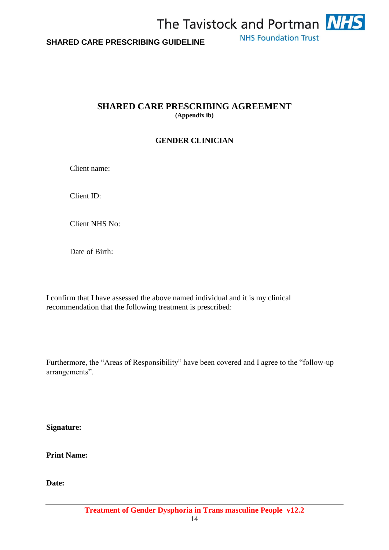

### **SHARED CARE PRESCRIBING AGREEMENT (Appendix ib)**

### **GENDER CLINICIAN**

Client name:

Client ID:

Client NHS No:

Date of Birth:

I confirm that I have assessed the above named individual and it is my clinical recommendation that the following treatment is prescribed:

Furthermore, the "Areas of Responsibility" have been covered and I agree to the "follow-up arrangements".

**Signature:**

**Print Name:**

**Date:**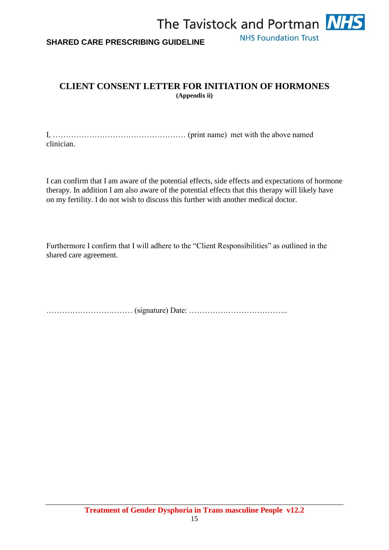

## **CLIENT CONSENT LETTER FOR INITIATION OF HORMONES (Appendix ii)**

I, …………………………………………… (print name) met with the above named clinician.

I can confirm that I am aware of the potential effects, side effects and expectations of hormone therapy. In addition I am also aware of the potential effects that this therapy will likely have on my fertility. I do not wish to discuss this further with another medical doctor.

Furthermore I confirm that I will adhere to the "Client Responsibilities" as outlined in the shared care agreement.

…………………………… (signature) Date: ………………………………..